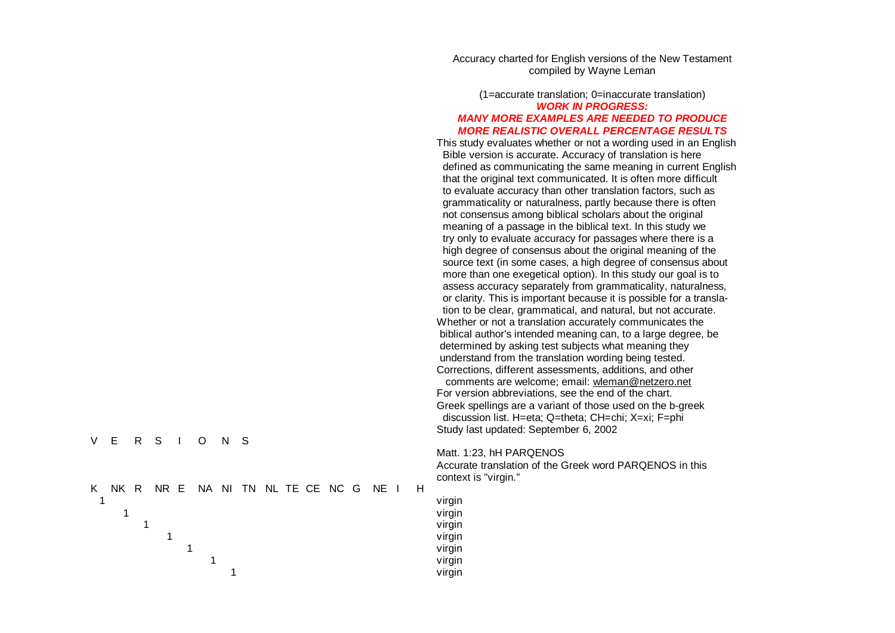Accuracy charted for English versions of the New Testament compiled by Wayne Leman

## (1=accurate translation; 0=inaccurate translation) *WORK IN PROGRESS: MANY MORE EXAMPLES ARE NEEDED TO PRODUCE MORE REALISTIC OVERALL PERCENTAGE RESULTS*

This study evaluates whether or not a wording used in an English Bible version is accurate. Accuracy of translation is here defined as communicating the same meaning in current English that the original text communicated. It is often more difficult to evaluate accuracy than other translation factors, such as grammaticality or naturalness, partly because there is often not consensus among biblical scholars about the original meaning of a passage in the biblical text. In this study we try only to evaluate accuracy for passages where there is a high degree of consensus about the original meaning of the source text (in some cases, a high degree of consensus about more than one exegetical option). In this study our goal is to assess accuracy separately from grammaticality, naturalness, or clarity. This is important because it is possible for a translation to be clear, grammatical, and natural, but not accurate. Whether or not a translation accurately communicates the biblical author's intended meaning can, to a large degree, be determined by asking test subjects what meaning they understand from the translation wording being tested. Corrections, different assessments, additions, and other comments are welcome; email: wleman[@ne](mailto:wleman@netzero.net)tzero.net For version abbreviations, see the end of the chart. Greek spellings are a variant of those used on the b-greek discussion list. H=eta; Q=theta; CH=chi; X=xi; F=phi Study last updated: September 6, 2002

Matt. 1:23, hH PARQENOS

vir gin

vir gin

vir gin

vir gin

vir gin

vir gin

vir gin

Accurate translation of the Greek word PARQENOS in this context is "virgin."

|  |  | V E R S I O N S |  |  |
|--|--|-----------------|--|--|
|  |  |                 |  |  |

|  |  |  |  |  |  | K NK R NR E NA NI TN NL TE CE NC G NE I H |  |
|--|--|--|--|--|--|-------------------------------------------|--|
|  |  |  |  |  |  |                                           |  |
|  |  |  |  |  |  |                                           |  |
|  |  |  |  |  |  |                                           |  |
|  |  |  |  |  |  |                                           |  |
|  |  |  |  |  |  |                                           |  |
|  |  |  |  |  |  |                                           |  |
|  |  |  |  |  |  |                                           |  |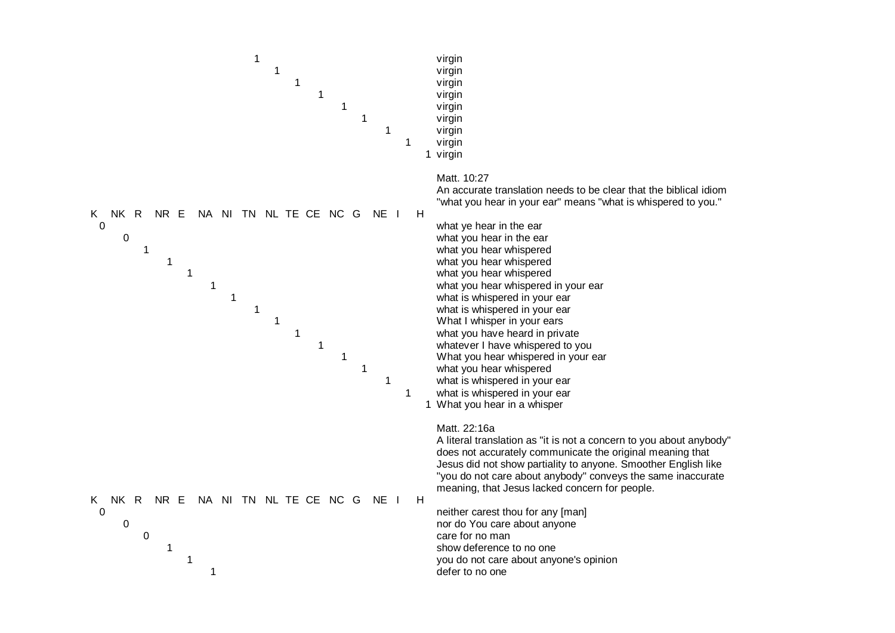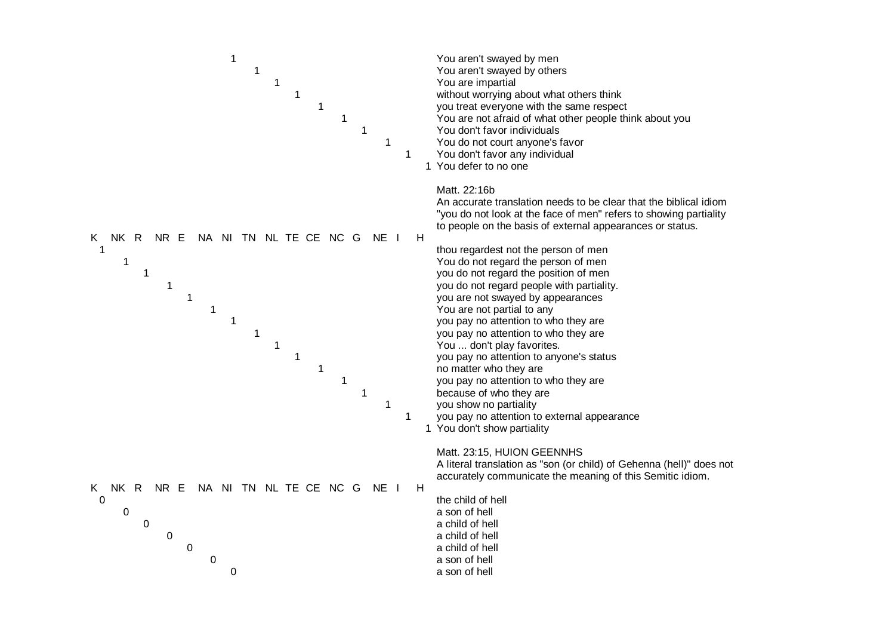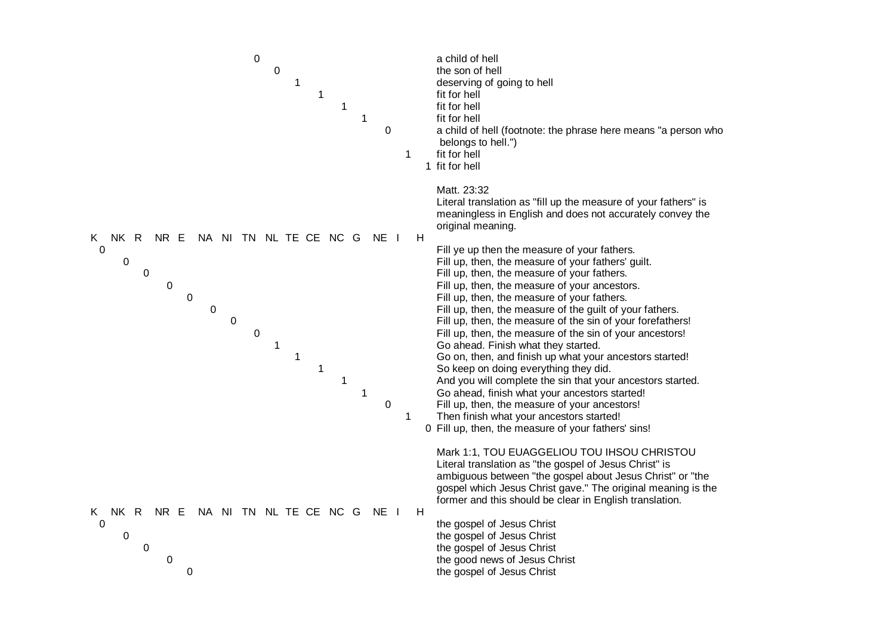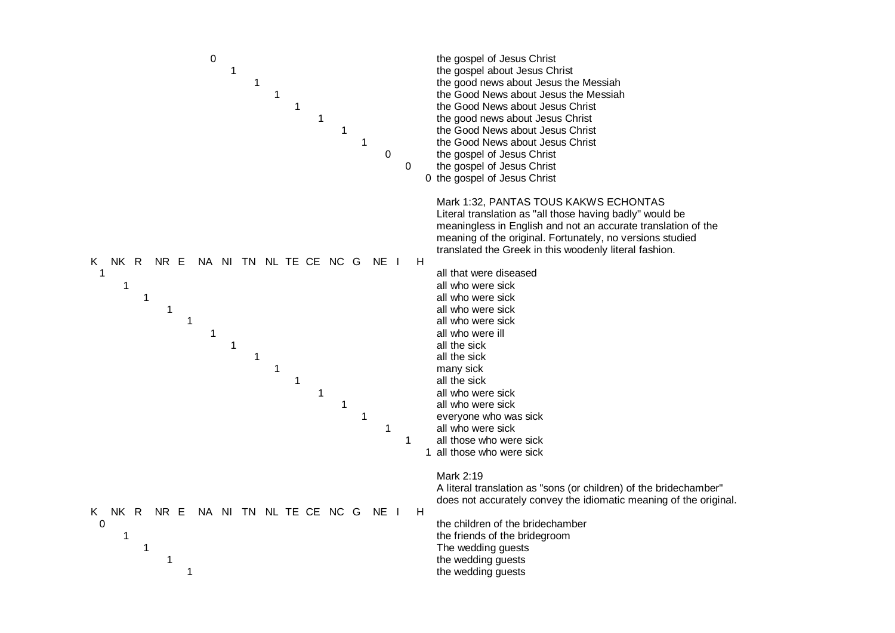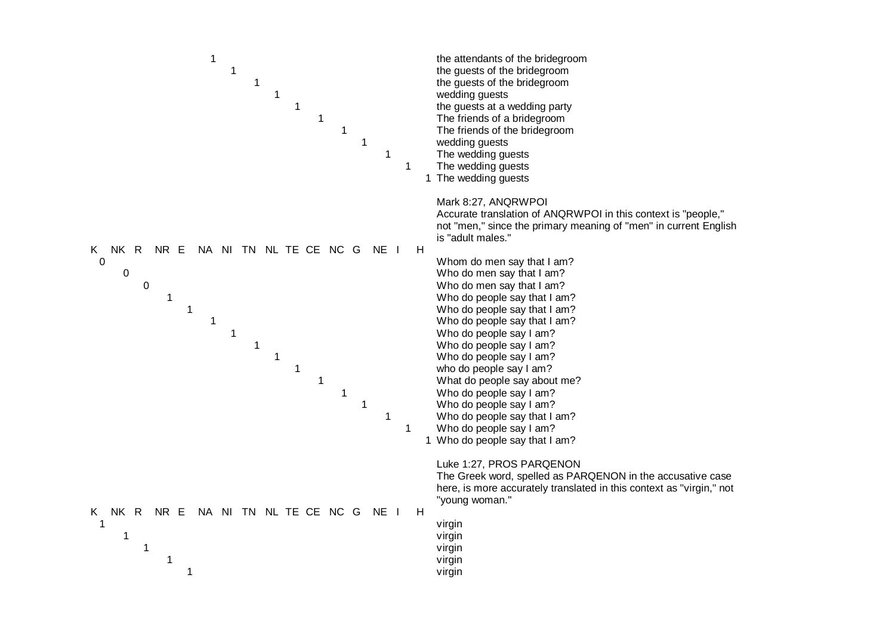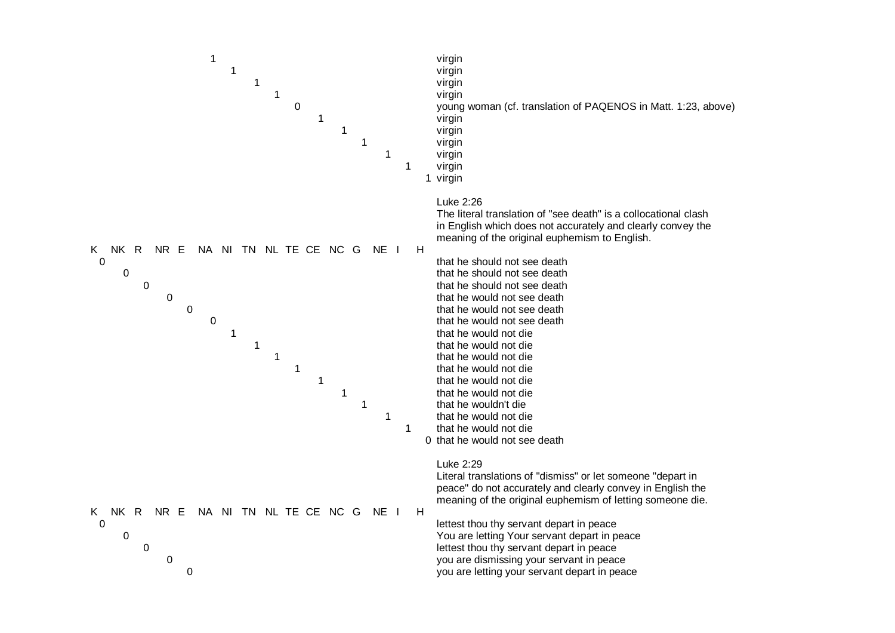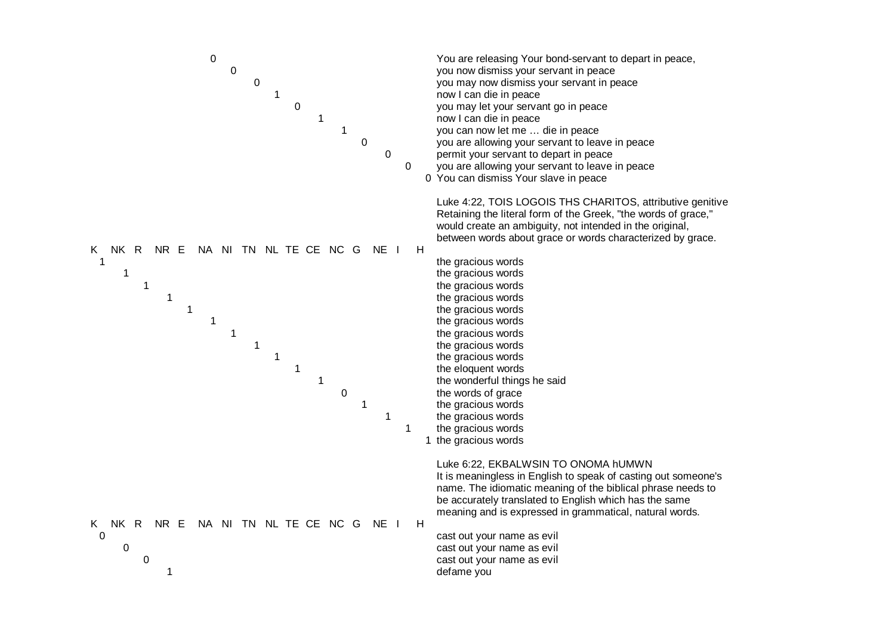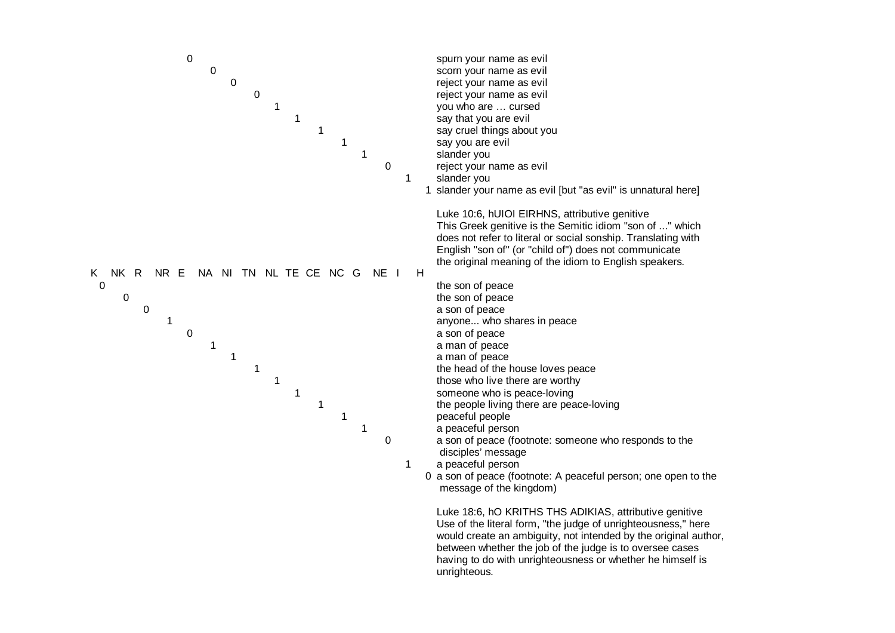

## unrighteous.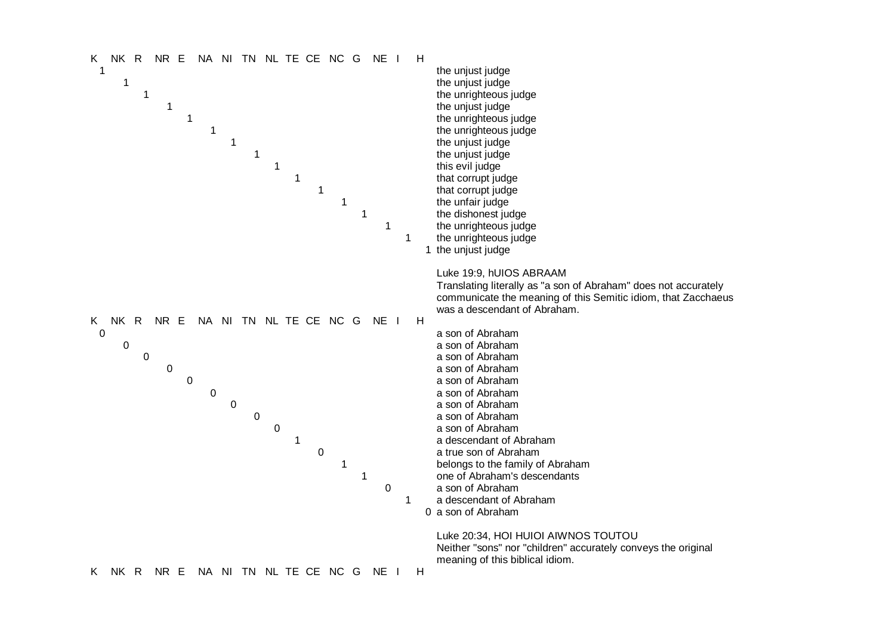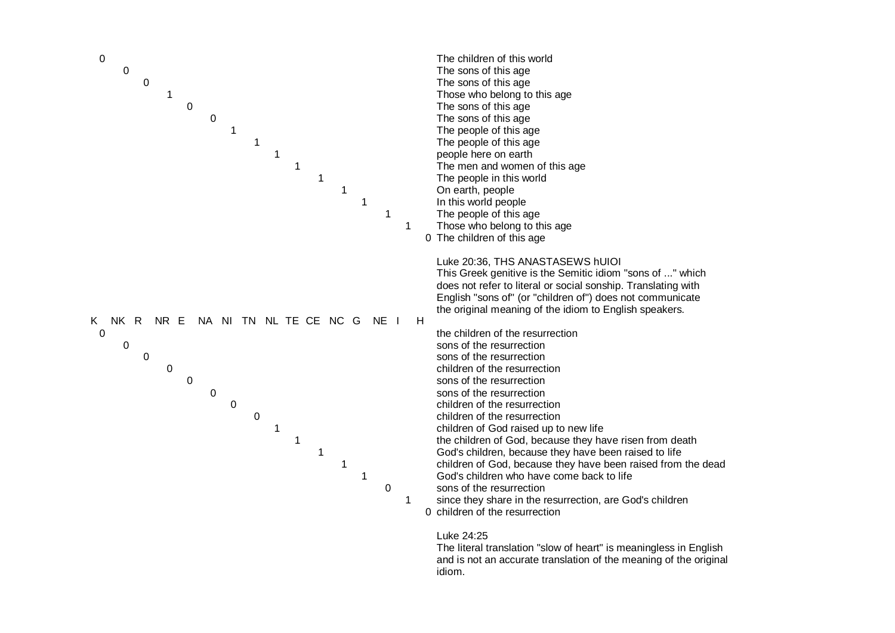

## Luke 24:25

The literal translation "slow of heart" is meaningless in English and is not an accurate translation of the meaning of the original idiom.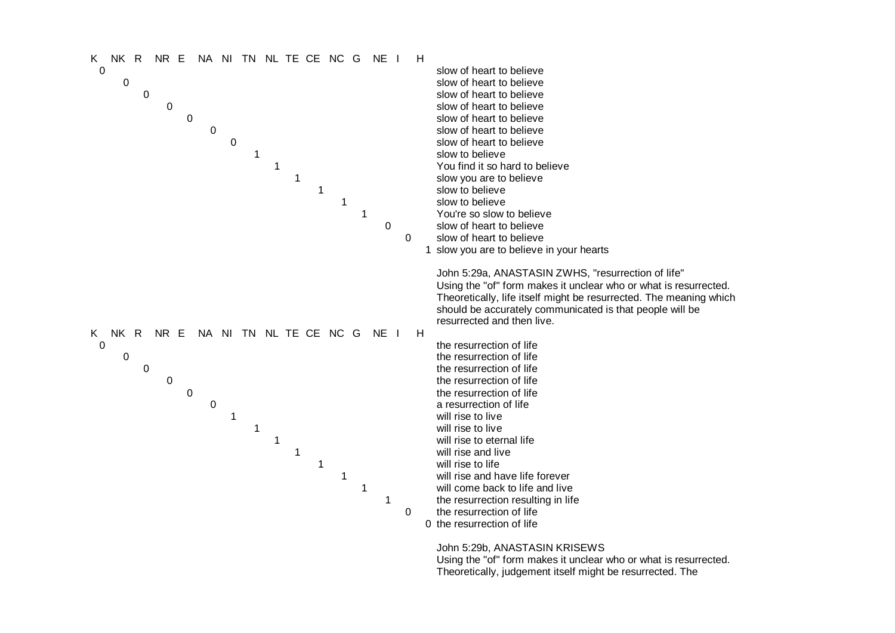

Using the "of" form makes it unclear who or what is resurrected. Theoretically, judgement itself might be resurrected. The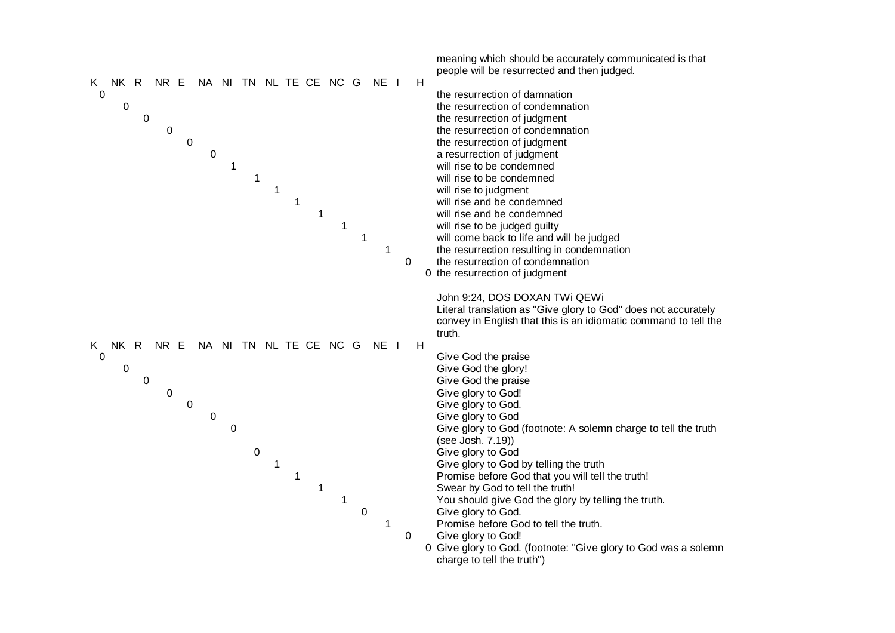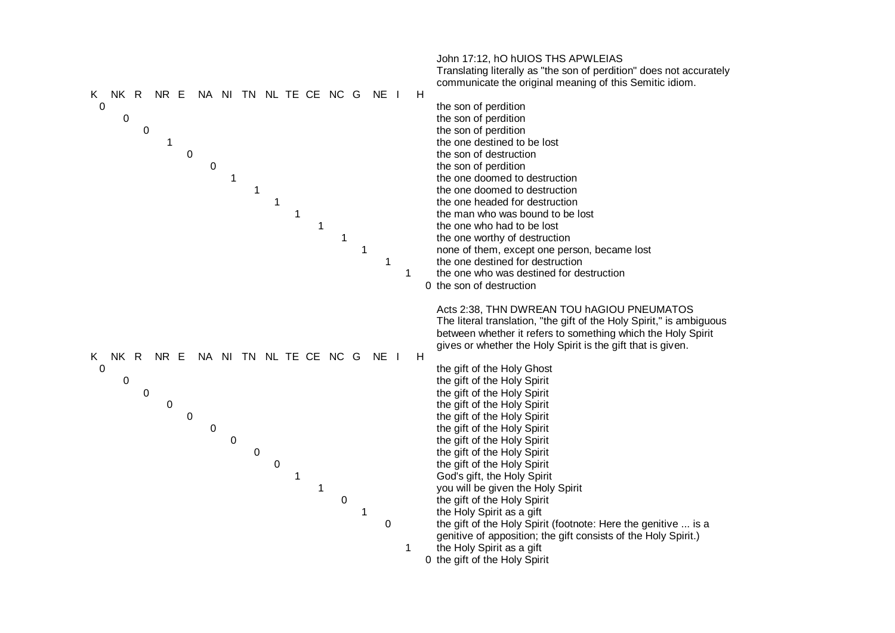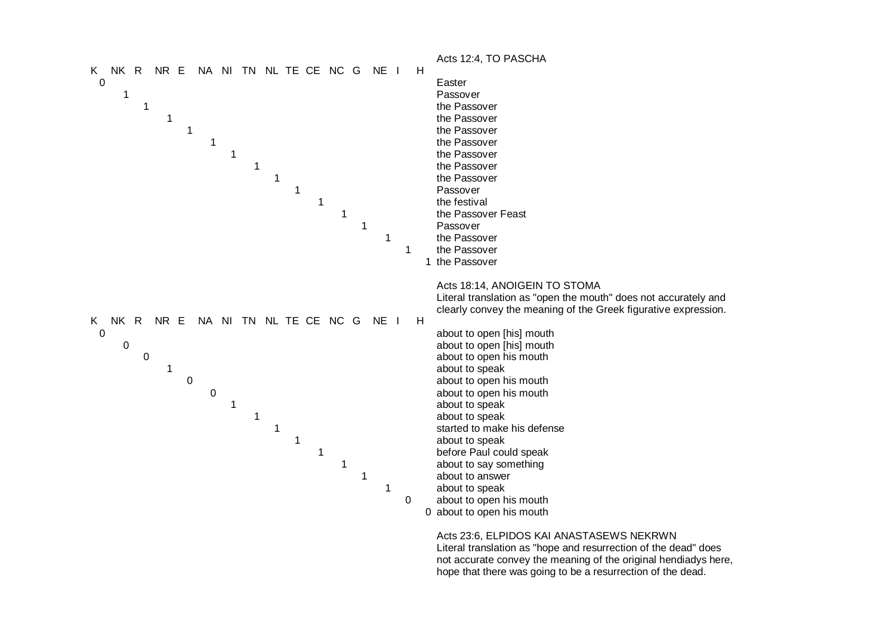

Acts 23:6, ELPIDOS KAI ANASTASEWS NEKRWN Literal translation as "hope and resurrection of the dead" does not accurate convey the meaning of the original hendiadys here, hope that there was going to be a resurrection of the dead.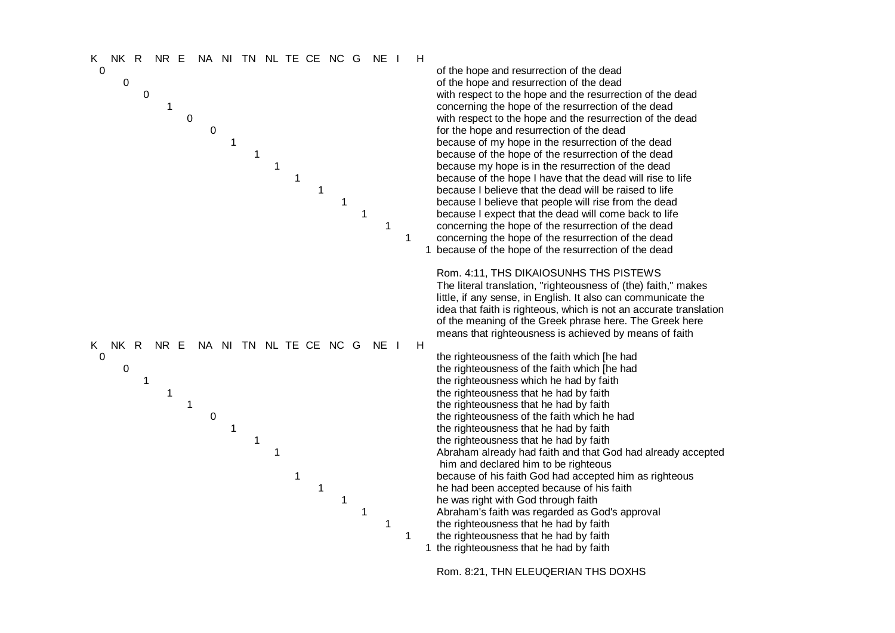

of the hope and resurrection of the dead of the hope and resurrection of the dead with respect to the hope and the resurrection of the dead concerning the hope of the resurrection of the dead with respect to the hope and the resurrection of the dead for the hope and resurrection of the dead because of my hope in the resurrection of the dead because of the hope of the resurrection of the dead because my hope is in the resurrection of the dead because of the hope I have that the dead will rise to life because I believe that the dead will be raised to life because I believe that people will rise from the dead because I expect that the dead will come back to life concerning the hope of the resurrection of the dead concerning the hope of the resurrection of the dead 1 because of the hope of the resurrection of the dead

Rom. 4:11, THS DIKAIOSUNHS THS PISTEWS The literal translation, "righteousness of (the) faith," makes little, if any sense, in English. It also can communicate t little, if any sense, in English. It also can communicate the<br>idea that faith is righteous, which is not an accurate translation of the meaning of the Greek phrase here. The Greek here means that righteousness is achieved by means of faith

the righteousness of the faith which [he had the righteousness of the faith which [he had the righteousness which he had by faith the righteousness that he had by faith the righteousness that he had by faith the righteousness of the faith which he had the righteousness that he had by faith the righteousness that he had by faith Abraham already had faith and that God had already accepted him and declared him to be righteous because of his faith God had accepted him as righteous he had been accepted because of his faith he was right with God through faith Abraham's faith was regarded as God's approval the righteousness that he had by faith the righteousness that he had by faith

1 the righteousness that he had by faith

R o m . 8 : 2 1 , THN E L E U Q E RIA N T H S D O X HS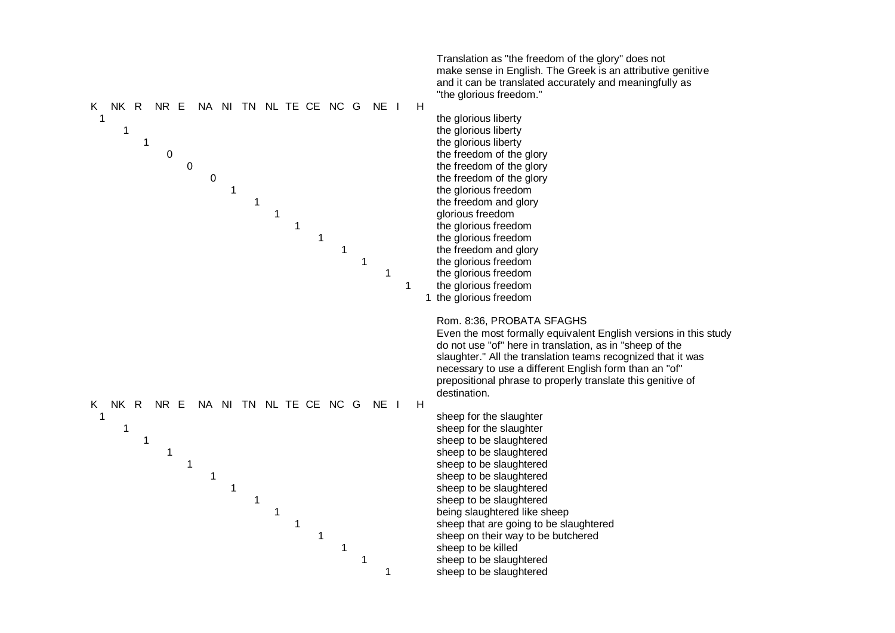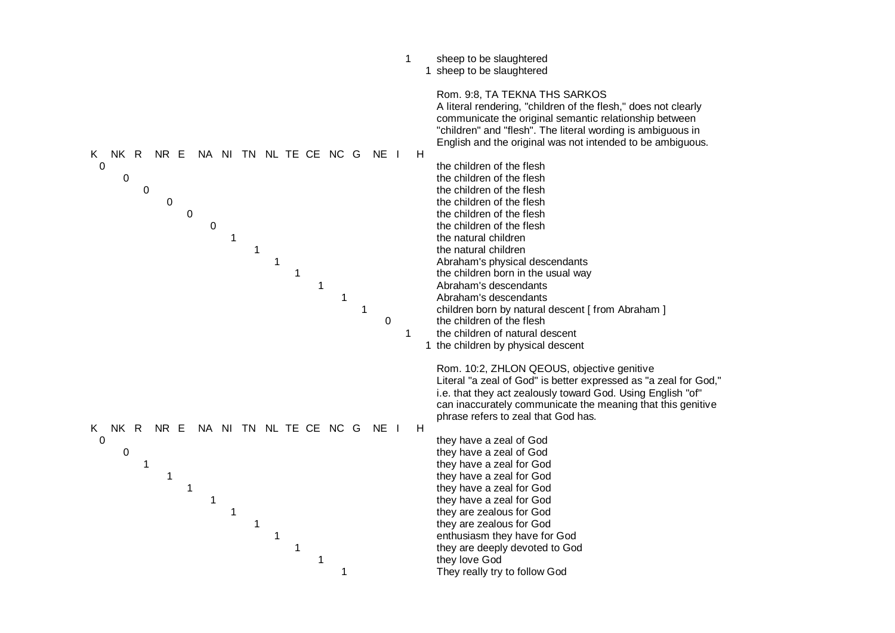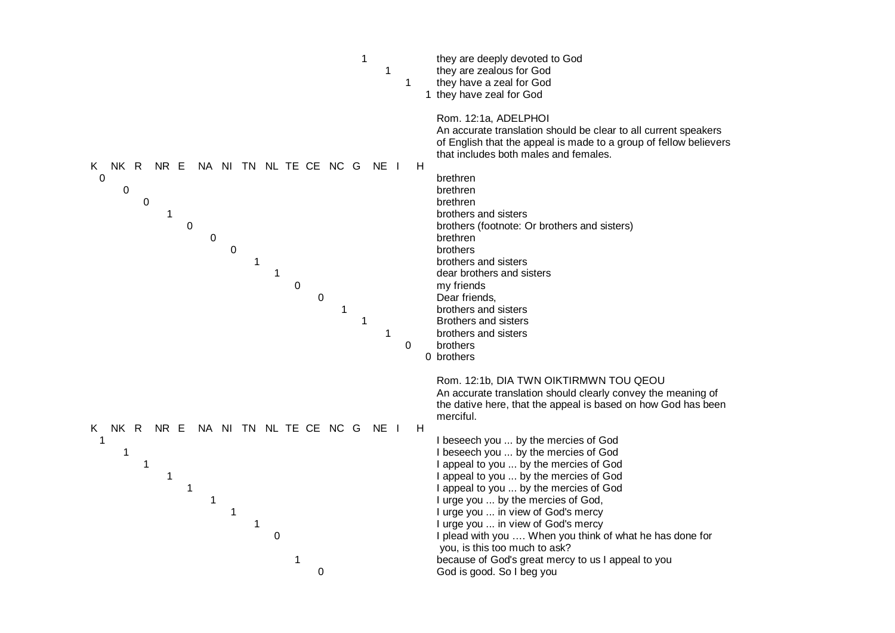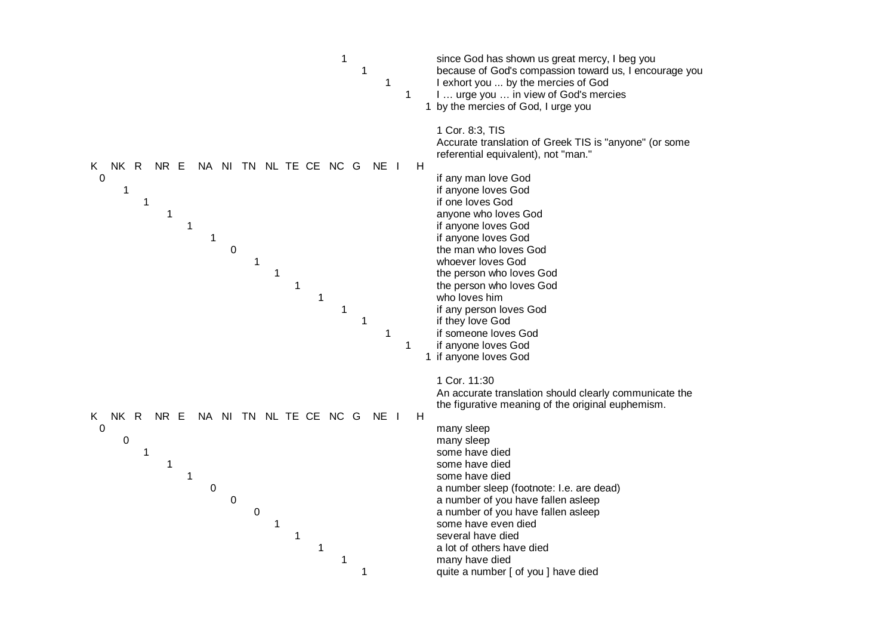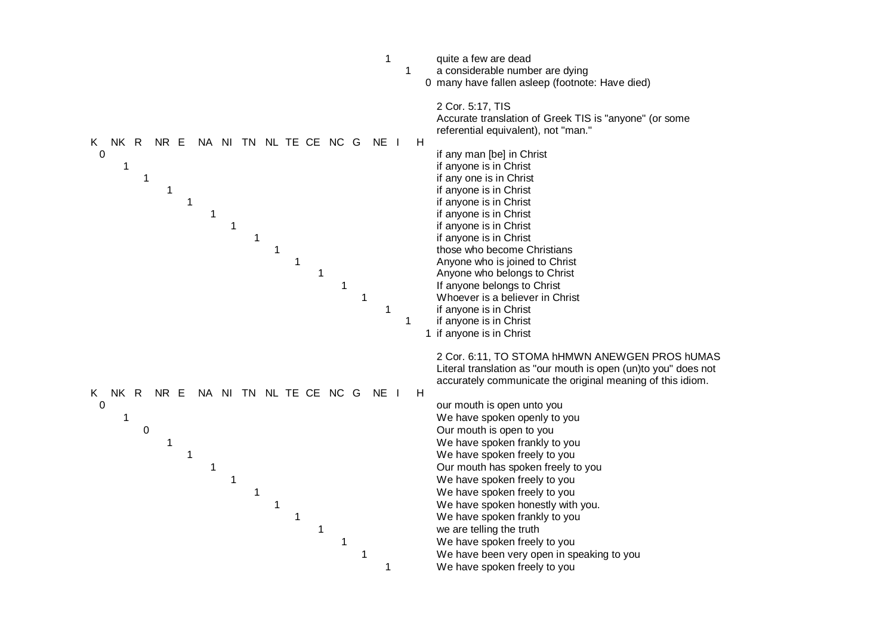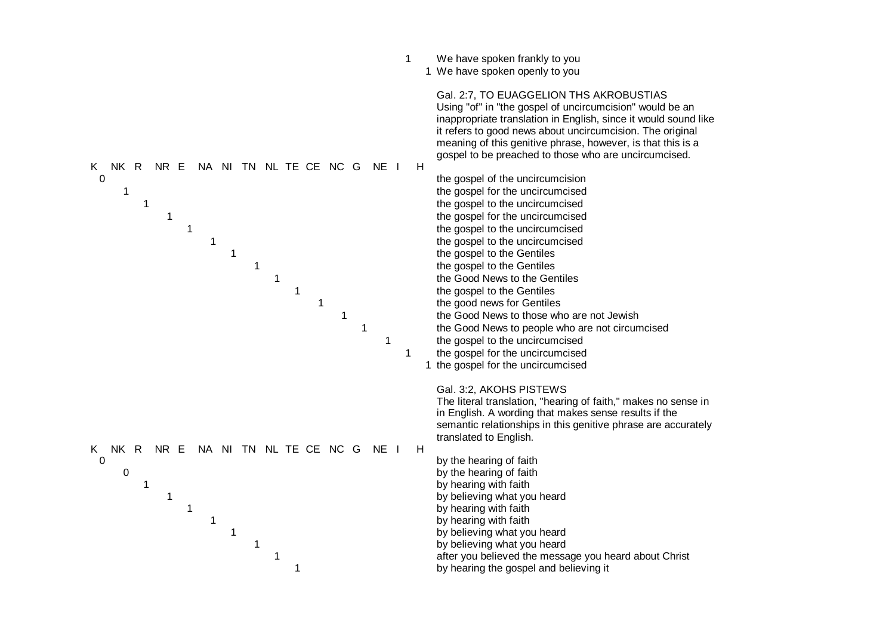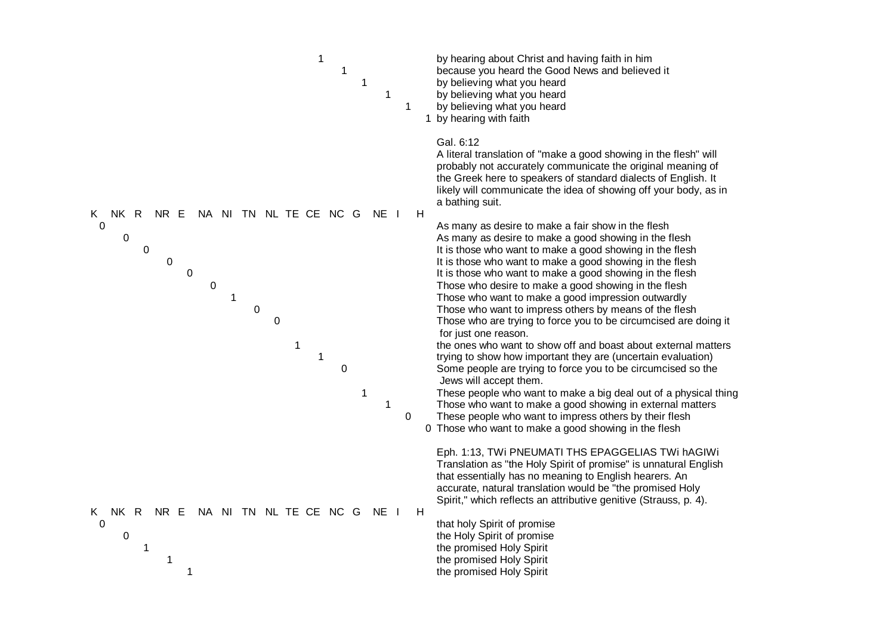| $\mathbf 1$<br>1<br>1<br>1                                                                   | 1 | by hearing about Christ and having faith in him<br>because you heard the Good News and believed it<br>by believing what you heard<br>by believing what you heard<br>by believing what you heard<br>1 by hearing with faith                                                                                                                                                                                                                                                                                                                                          |
|----------------------------------------------------------------------------------------------|---|---------------------------------------------------------------------------------------------------------------------------------------------------------------------------------------------------------------------------------------------------------------------------------------------------------------------------------------------------------------------------------------------------------------------------------------------------------------------------------------------------------------------------------------------------------------------|
| NK R<br>NR E<br>NA NI TN NL TE CE NC G<br>NE I<br>K.                                         | H | Gal. 6:12<br>A literal translation of "make a good showing in the flesh" will<br>probably not accurately communicate the original meaning of<br>the Greek here to speakers of standard dialects of English. It<br>likely will communicate the idea of showing off your body, as in<br>a bathing suit.                                                                                                                                                                                                                                                               |
| 0<br>0<br>0<br>0<br>$\boldsymbol{0}$<br>$\mathbf 0$<br>$\mathbf 1$<br>$\pmb{0}$<br>$\pmb{0}$ |   | As many as desire to make a fair show in the flesh<br>As many as desire to make a good showing in the flesh<br>It is those who want to make a good showing in the flesh<br>It is those who want to make a good showing in the flesh<br>It is those who want to make a good showing in the flesh<br>Those who desire to make a good showing in the flesh<br>Those who want to make a good impression outwardly<br>Those who want to impress others by means of the flesh<br>Those who are trying to force you to be circumcised are doing it<br>for just one reason. |
| 1<br>$\mathbf{1}$<br>0<br>1<br>1                                                             | 0 | the ones who want to show off and boast about external matters<br>trying to show how important they are (uncertain evaluation)<br>Some people are trying to force you to be circumcised so the<br>Jews will accept them.<br>These people who want to make a big deal out of a physical thing<br>Those who want to make a good showing in external matters<br>These people who want to impress others by their flesh<br>0 Those who want to make a good showing in the flesh                                                                                         |
| NA NI TN NL TE CE NC G<br>Κ<br>NK R<br>NR E<br>NE I<br>0                                     | H | Eph. 1:13, TWI PNEUMATI THS EPAGGELIAS TWI hAGIWI<br>Translation as "the Holy Spirit of promise" is unnatural English<br>that essentially has no meaning to English hearers. An<br>accurate, natural translation would be "the promised Holy<br>Spirit," which reflects an attributive genitive (Strauss, p. 4).<br>that holy Spirit of promise                                                                                                                                                                                                                     |
| 0<br>1<br>1<br>1                                                                             |   | the Holy Spirit of promise<br>the promised Holy Spirit<br>the promised Holy Spirit<br>the promised Holy Spirit                                                                                                                                                                                                                                                                                                                                                                                                                                                      |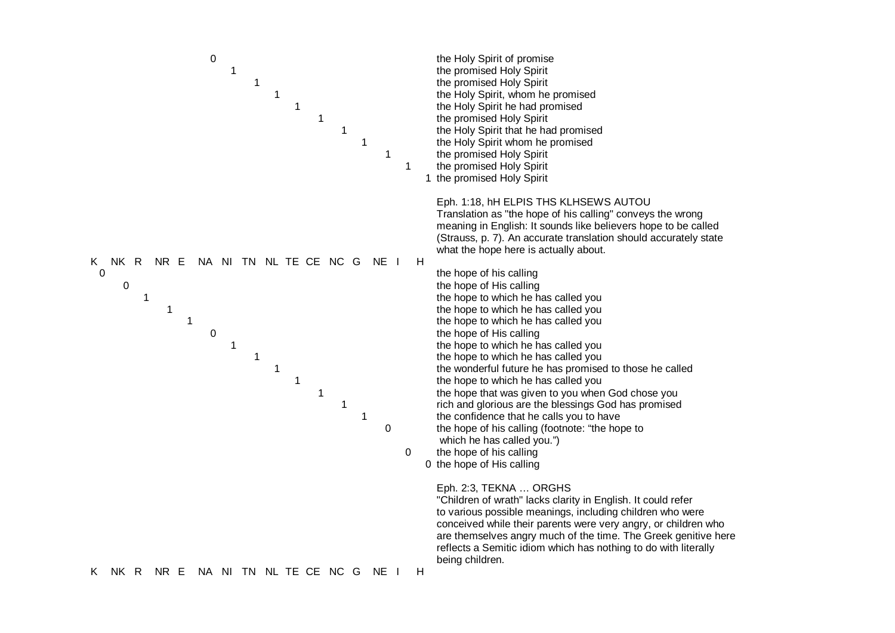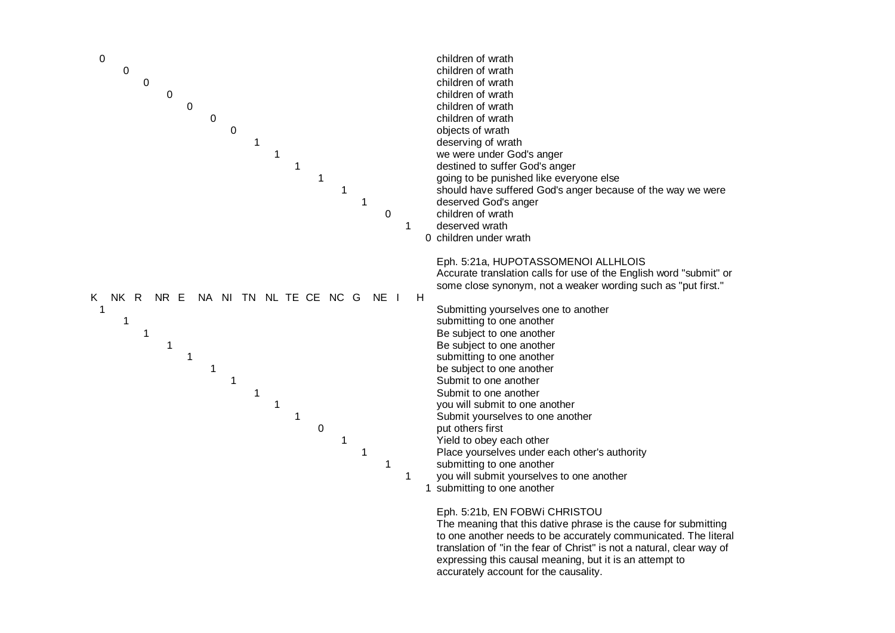

to one another needs to be accurately communicated. The literal translation of "in the fear of Christ" is not a natural, clear way of expressing this causal meaning, but it is an attempt to accurately account for the causality.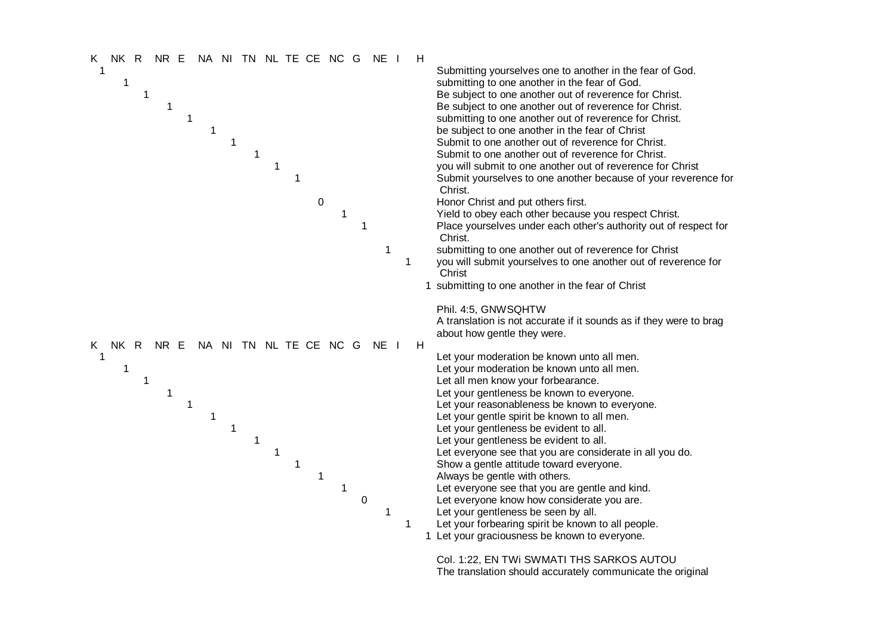

Col. 1:22, EN TWI SWMATI THS SARKOS AUTOU The translation should accurately communicate the original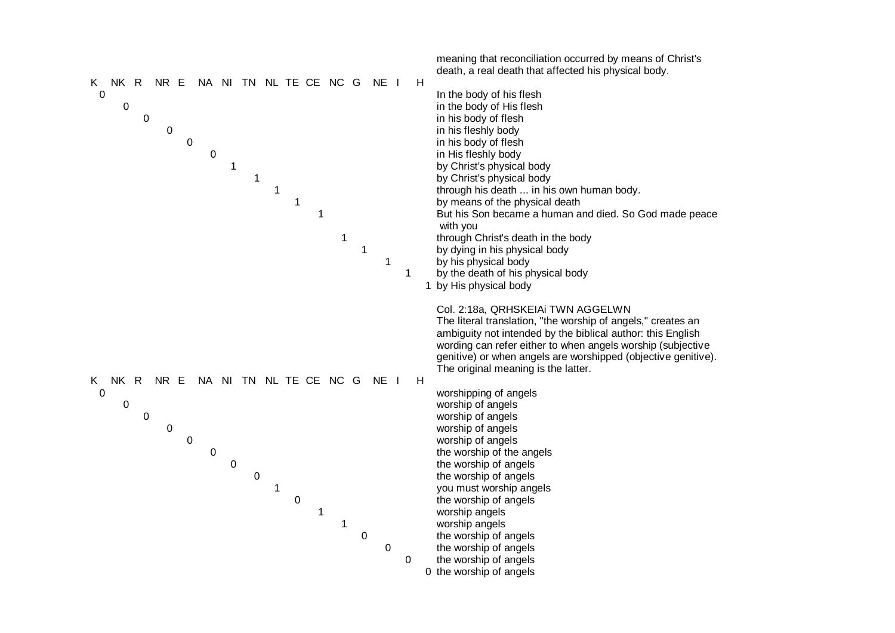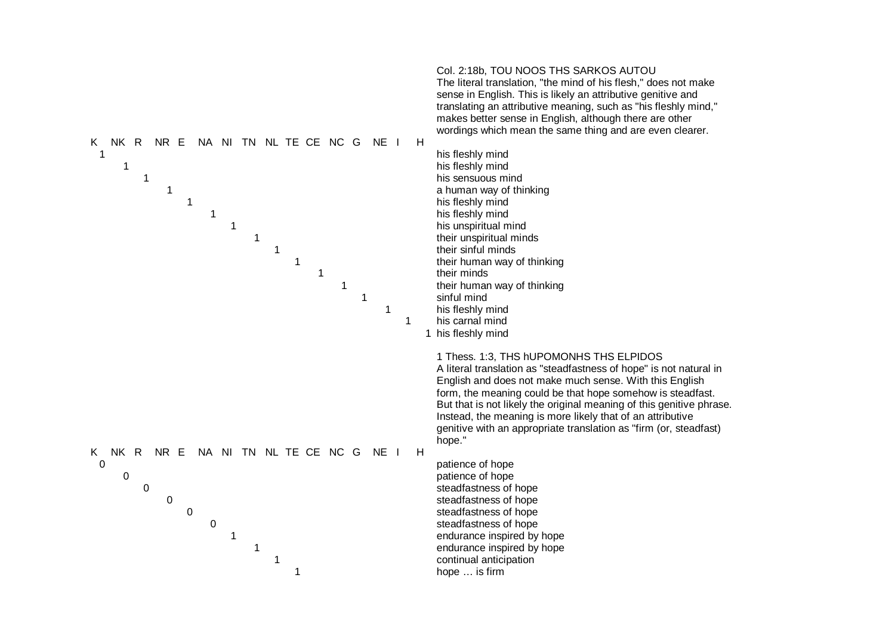| NA NI TN NL TE CE NC G                                   | Col. 2:18b, TOU NOOS THS SARKOS AUTOU                                                                                                                                                                                                                                                                                                                                                                                                                       |
|----------------------------------------------------------|-------------------------------------------------------------------------------------------------------------------------------------------------------------------------------------------------------------------------------------------------------------------------------------------------------------------------------------------------------------------------------------------------------------------------------------------------------------|
| H                                                        | The literal translation, "the mind of his flesh," does not make                                                                                                                                                                                                                                                                                                                                                                                             |
| NK R                                                     | sense in English. This is likely an attributive genitive and                                                                                                                                                                                                                                                                                                                                                                                                |
| NR E                                                     | translating an attributive meaning, such as "his fleshly mind,"                                                                                                                                                                                                                                                                                                                                                                                             |
| NE I                                                     | makes better sense in English, although there are other                                                                                                                                                                                                                                                                                                                                                                                                     |
| K.                                                       | wordings which mean the same thing and are even clearer.                                                                                                                                                                                                                                                                                                                                                                                                    |
| $\mathbf 1$                                              | his fleshly mind                                                                                                                                                                                                                                                                                                                                                                                                                                            |
| 1                                                        | his fleshly mind                                                                                                                                                                                                                                                                                                                                                                                                                                            |
| 1                                                        | his sensuous mind                                                                                                                                                                                                                                                                                                                                                                                                                                           |
| 1                                                        | a human way of thinking                                                                                                                                                                                                                                                                                                                                                                                                                                     |
| 1                                                        | his fleshly mind                                                                                                                                                                                                                                                                                                                                                                                                                                            |
| 1                                                        | his fleshly mind                                                                                                                                                                                                                                                                                                                                                                                                                                            |
| $\mathbf{1}$                                             | his unspiritual mind                                                                                                                                                                                                                                                                                                                                                                                                                                        |
| 1                                                        | their unspiritual minds                                                                                                                                                                                                                                                                                                                                                                                                                                     |
| 1                                                        | their sinful minds                                                                                                                                                                                                                                                                                                                                                                                                                                          |
| 1                                                        | their human way of thinking                                                                                                                                                                                                                                                                                                                                                                                                                                 |
| $\mathbf 1$                                              | their minds                                                                                                                                                                                                                                                                                                                                                                                                                                                 |
| 1                                                        | their human way of thinking                                                                                                                                                                                                                                                                                                                                                                                                                                 |
| 1                                                        | sinful mind                                                                                                                                                                                                                                                                                                                                                                                                                                                 |
| 1                                                        | his fleshly mind                                                                                                                                                                                                                                                                                                                                                                                                                                            |
| $\mathbf{1}$                                             | his carnal mind                                                                                                                                                                                                                                                                                                                                                                                                                                             |
|                                                          | 1 his fleshly mind                                                                                                                                                                                                                                                                                                                                                                                                                                          |
| NA NI TN NL TE CE NC G<br>NK R<br>NR E<br>H<br>K<br>NE I | 1 Thess. 1:3, THS hUPOMONHS THS ELPIDOS<br>A literal translation as "steadfastness of hope" is not natural in<br>English and does not make much sense. With this English<br>form, the meaning could be that hope somehow is steadfast.<br>But that is not likely the original meaning of this genitive phrase.<br>Instead, the meaning is more likely that of an attributive<br>genitive with an appropriate translation as "firm (or, steadfast)<br>hope." |
| $\boldsymbol{0}$                                         | patience of hope                                                                                                                                                                                                                                                                                                                                                                                                                                            |
| 0                                                        | patience of hope                                                                                                                                                                                                                                                                                                                                                                                                                                            |
| $\mathbf 0$                                              | steadfastness of hope                                                                                                                                                                                                                                                                                                                                                                                                                                       |
| 0                                                        | steadfastness of hope                                                                                                                                                                                                                                                                                                                                                                                                                                       |
| $\mathbf 0$                                              | steadfastness of hope                                                                                                                                                                                                                                                                                                                                                                                                                                       |
| $\mathbf 0$                                              | steadfastness of hope                                                                                                                                                                                                                                                                                                                                                                                                                                       |
| $\mathbf 1$                                              | endurance inspired by hope                                                                                                                                                                                                                                                                                                                                                                                                                                  |
| $\mathbf 1$                                              | endurance inspired by hope                                                                                                                                                                                                                                                                                                                                                                                                                                  |
| 1                                                        | continual anticipation                                                                                                                                                                                                                                                                                                                                                                                                                                      |
| 1                                                        | hope  is firm                                                                                                                                                                                                                                                                                                                                                                                                                                               |
|                                                          |                                                                                                                                                                                                                                                                                                                                                                                                                                                             |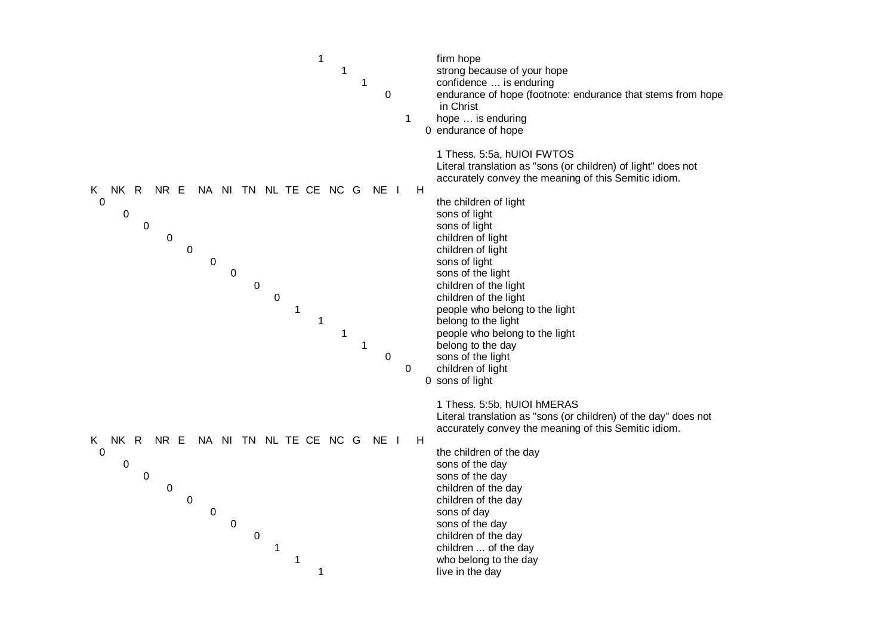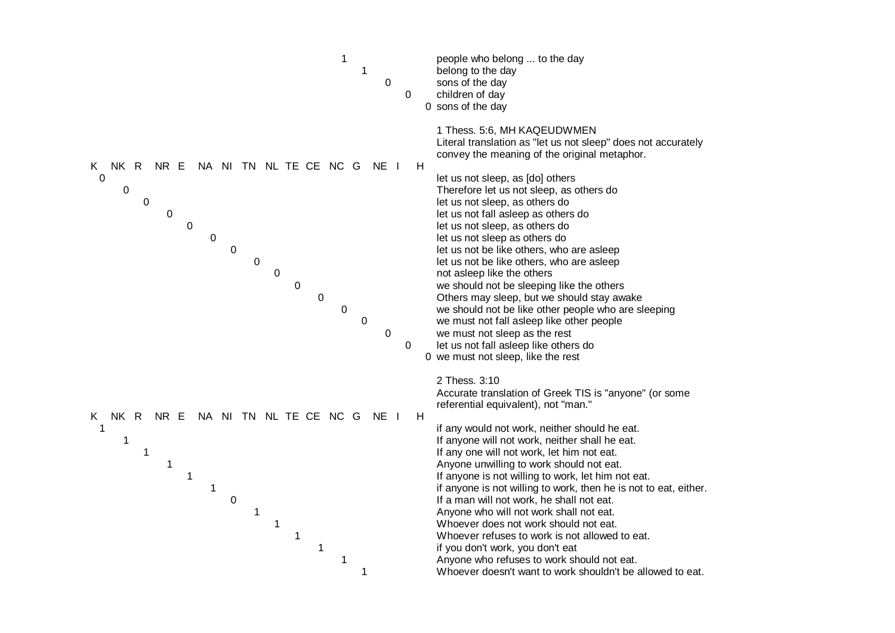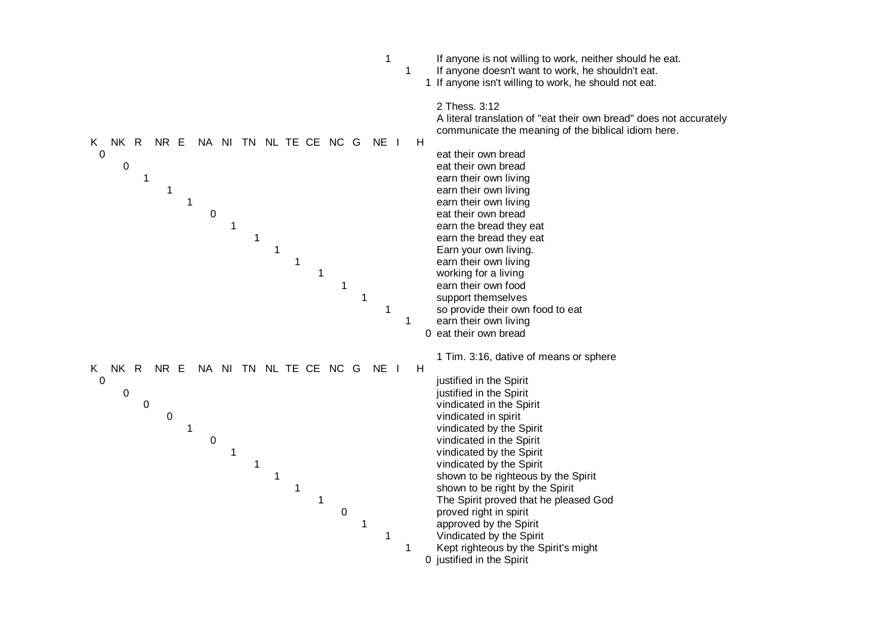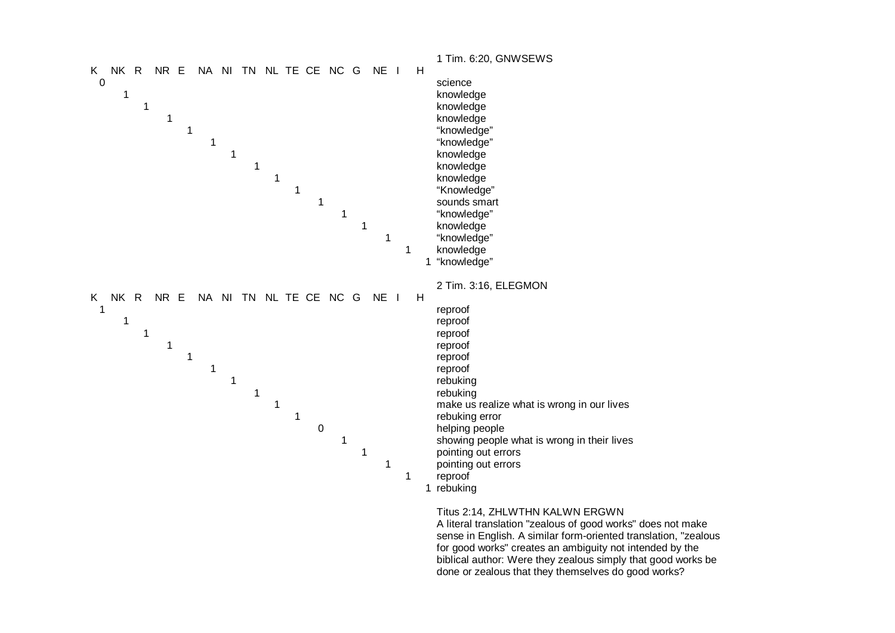

sense in English. A similar form-oriented translation, "zealous for good works" creates an ambiguity not intended by the biblical author: Were they zealous simply that good works be done or zealous that they themselves do good works?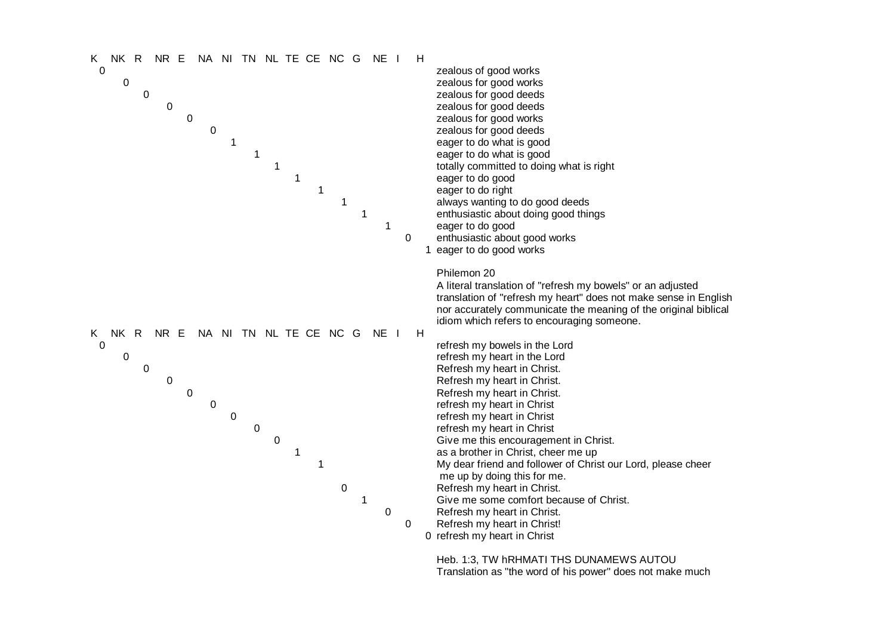

Heb. 1:3, TW hRHMATI THS DUNAMEWS AUTOU Translation as "the word of his power" does not make much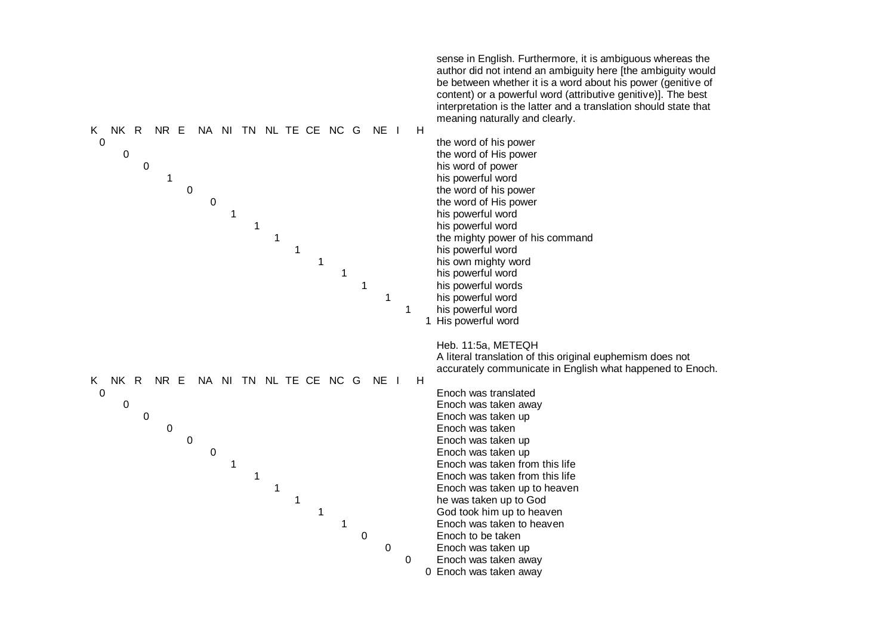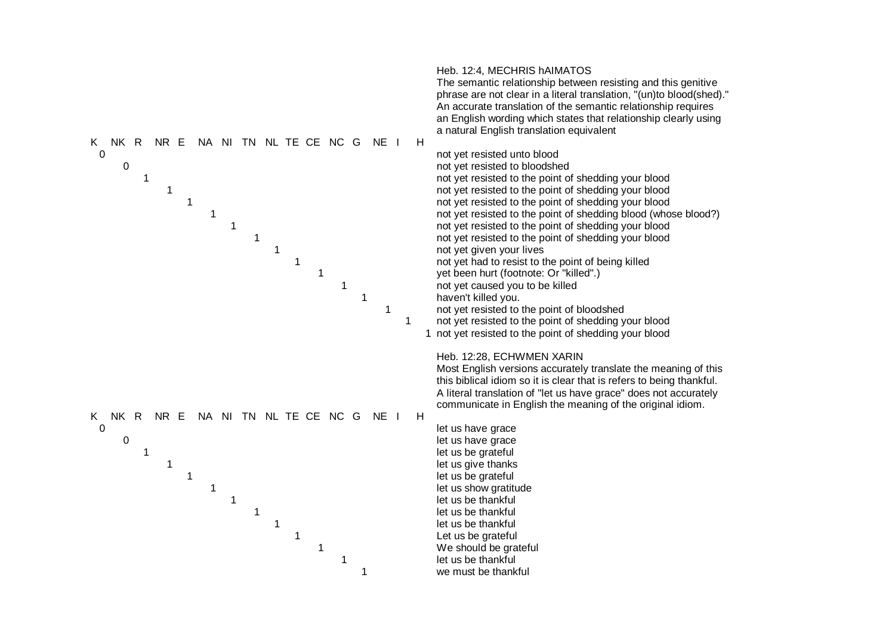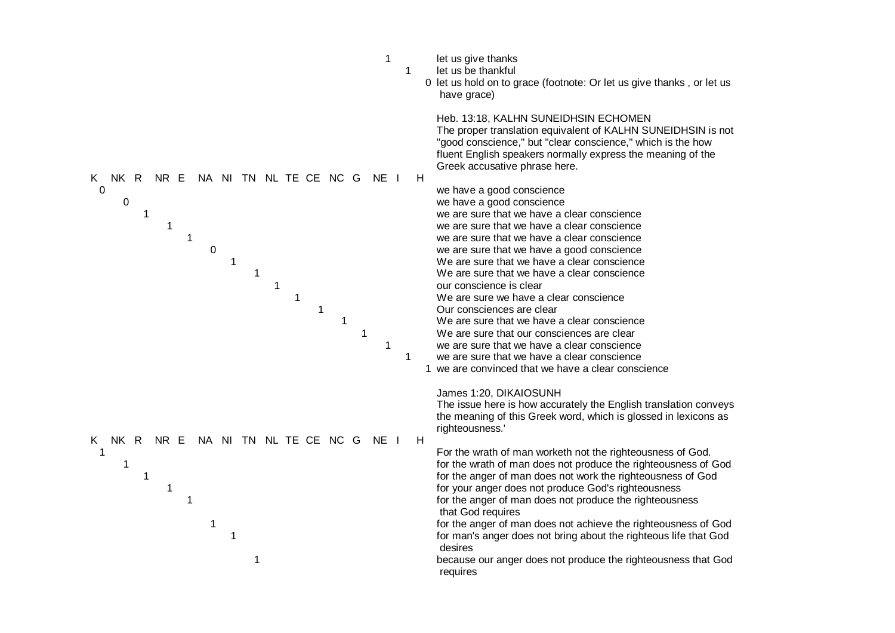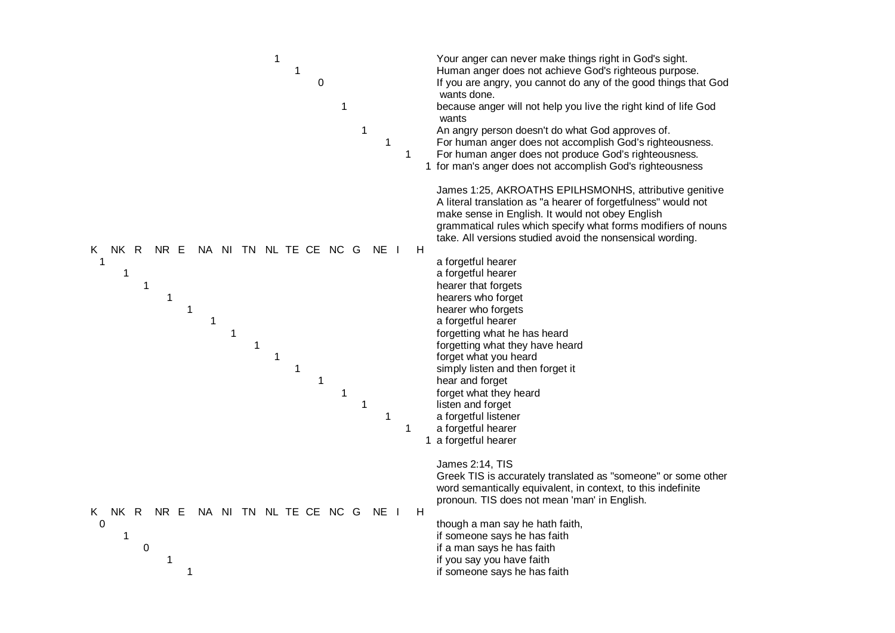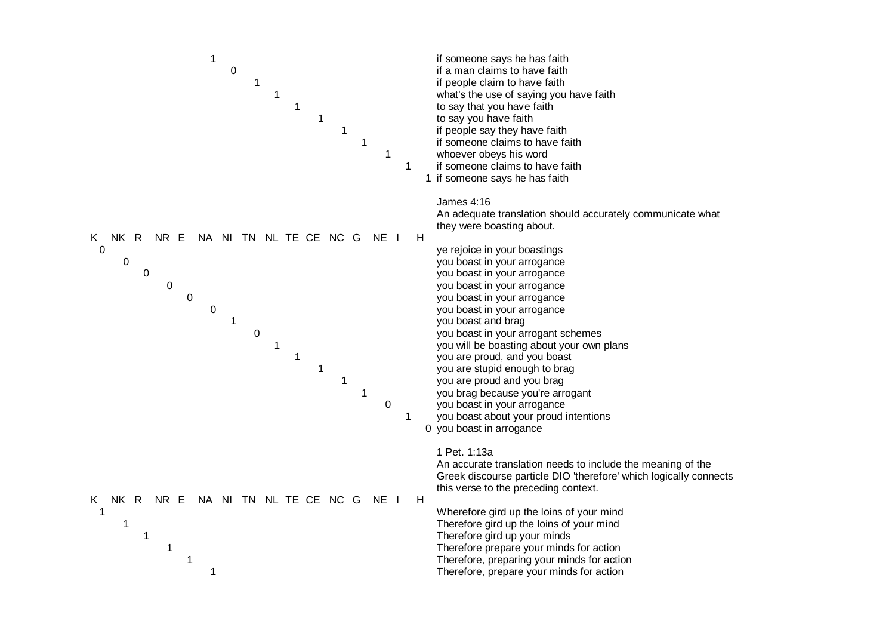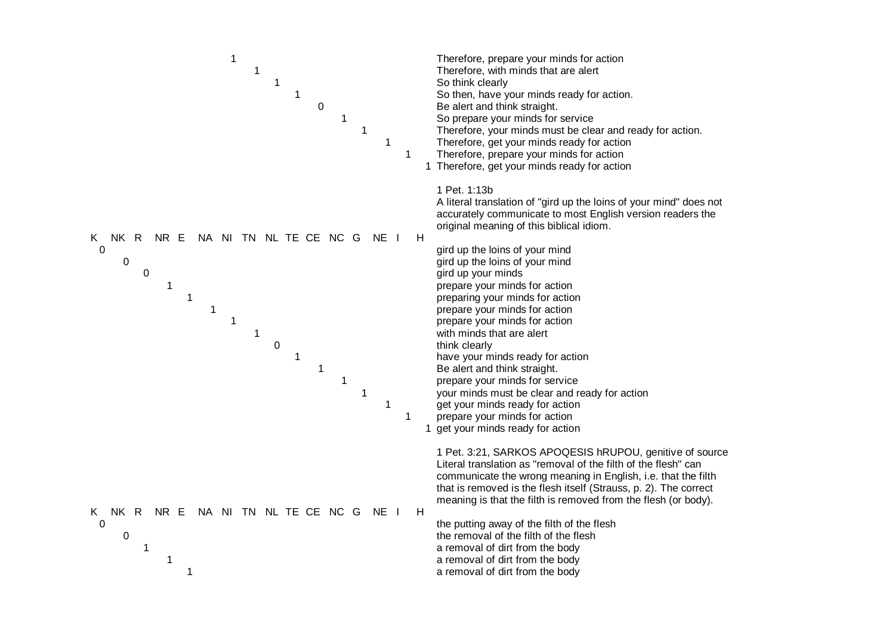![](_page_38_Figure_0.jpeg)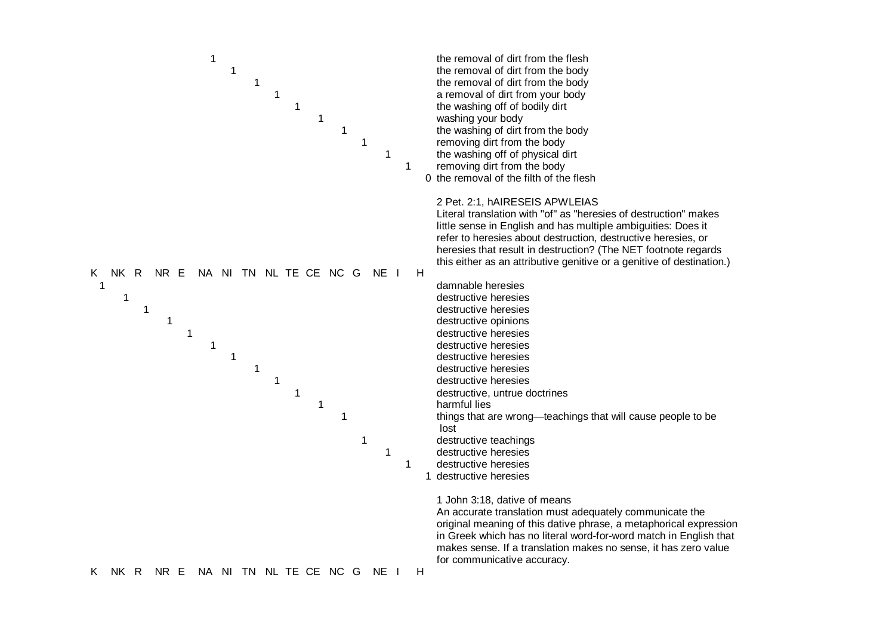![](_page_39_Figure_0.jpeg)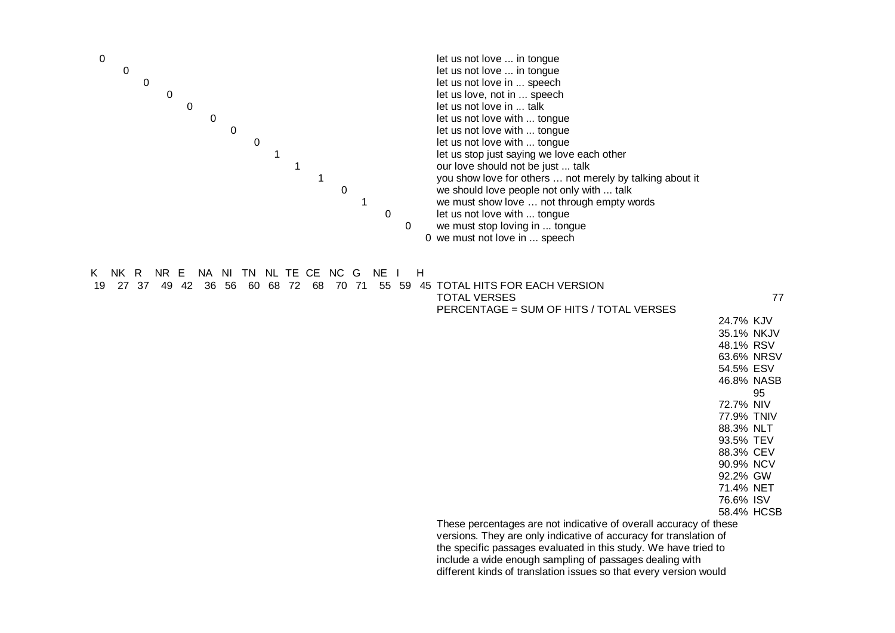![](_page_40_Figure_0.jpeg)

- 88.3% CEV
- 90.9% NCV
- 92.2% GW
- 71.4% NET
- 76.6% ISV

58.4% HCSB

These percentages are not indicative of overall accuracy of these versions. They are only indicative of accuracy for translation of the specific passages evaluated in this study. We have tried to include a wide enough sampling of passages dealing with different kinds of translation issues so that every version would